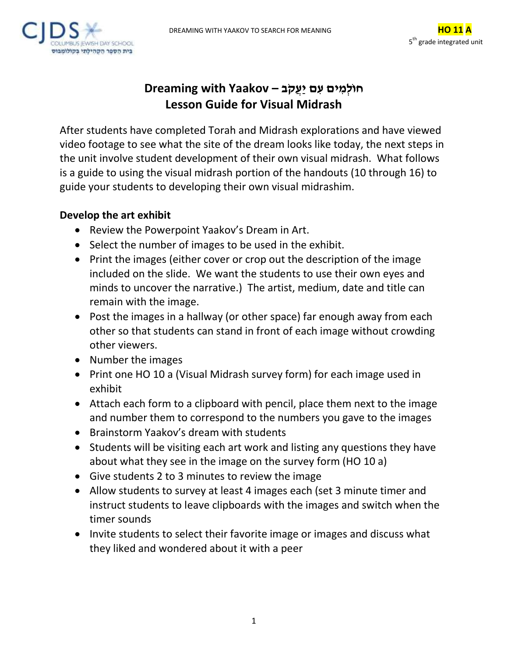



## **חו ֹל ֹמ ֹיםֹע ֹםֹי ֹע ֹק ֹב – Yaakov with Dreaming Lesson Guide for Visual Midrash**

After students have completed Torah and Midrash explorations and have viewed video footage to see what the site of the dream looks like today, the next steps in the unit involve student development of their own visual midrash. What follows is a guide to using the visual midrash portion of the handouts (10 through 16) to guide your students to developing their own visual midrashim.

## **Develop the art exhibit**

- Review the Powerpoint Yaakov's Dream in Art.
- Select the number of images to be used in the exhibit.
- Print the images (either cover or crop out the description of the image included on the slide. We want the students to use their own eyes and minds to uncover the narrative.) The artist, medium, date and title can remain with the image.
- Post the images in a hallway (or other space) far enough away from each other so that students can stand in front of each image without crowding other viewers.
- Number the images
- Print one HO 10 a (Visual Midrash survey form) for each image used in exhibit
- Attach each form to a clipboard with pencil, place them next to the image and number them to correspond to the numbers you gave to the images
- Brainstorm Yaakov's dream with students
- Students will be visiting each art work and listing any questions they have about what they see in the image on the survey form (HO 10 a)
- Give students 2 to 3 minutes to review the image
- Allow students to survey at least 4 images each (set 3 minute timer and instruct students to leave clipboards with the images and switch when the timer sounds
- Invite students to select their favorite image or images and discuss what they liked and wondered about it with a peer